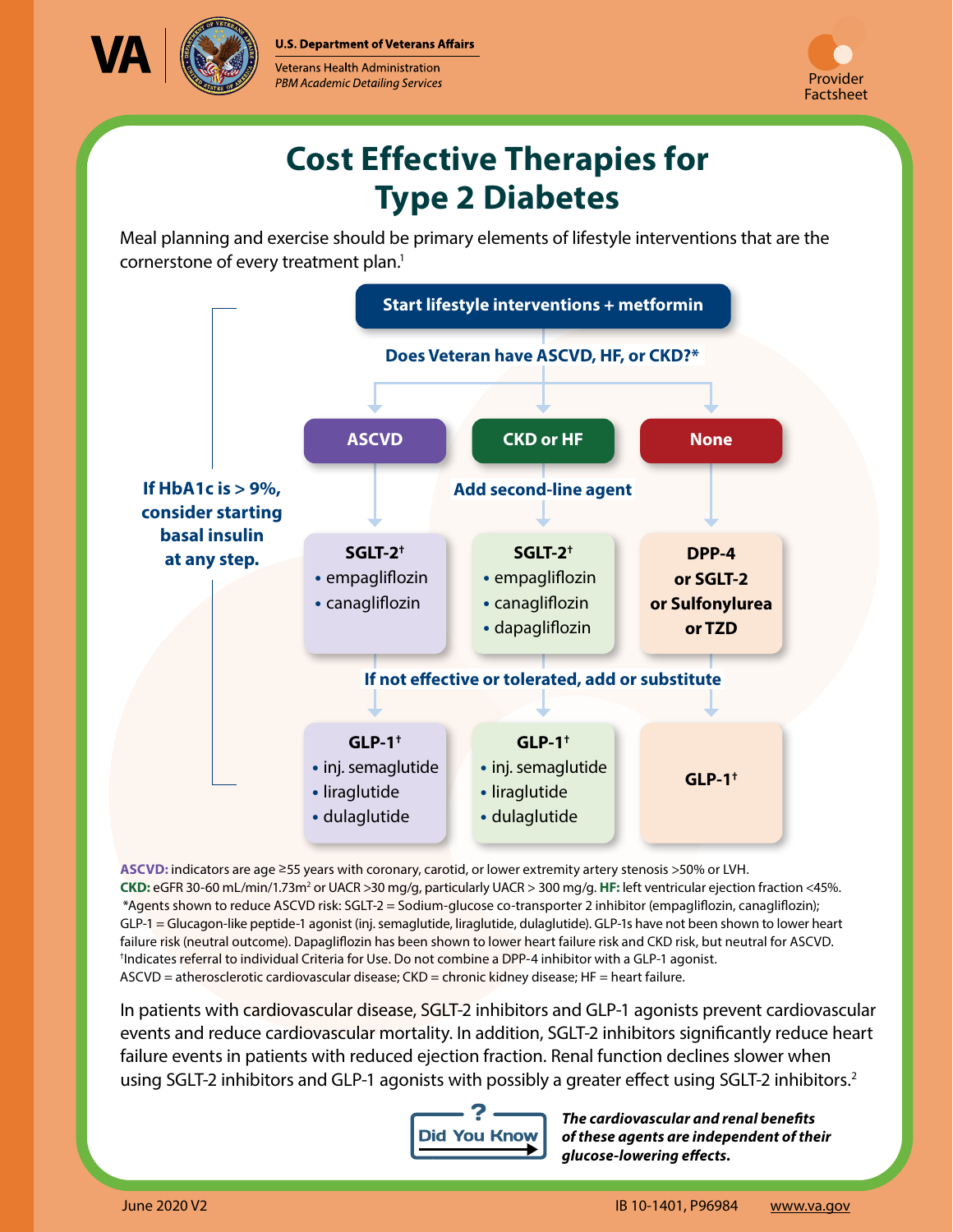**U.S. Department of Veterans Affairs** 



Veterans Health Administration PBM Academic Detailing Services



## **Cost Effective Therapies for Type 2 Diabetes**

Meal planning and exercise should be primary elements of lifestyle interventions that are the cornerstone of every treatment plan.<sup>1</sup>



<span id="page-0-1"></span>**ASCVD:** indicators are age ≥55 years with coronary, carotid, or lower extremity artery stenosis >50% or LVH. CKD: eGFR 30-60 mL/min/1.73m<sup>2</sup> or UACR >30 mg/g, particularly UACR > 300 mg/g. HF: left ventricular ejection fraction <45%. † Indicates referral to individual Criteria for Use. Do not combine a DPP-4 inhibitor with a GLP-1 agonist. ASCVD = atherosclerotic cardiovascular disease; CKD = chronic kidney disease; HF = heart failure. \*Agents shown to reduce ASCVD risk: SGLT-2 = Sodium-glucose co-transporter 2 inhibitor (empagliflozin, canagliflozin); GLP-1 = Glucagon-like peptide-1 agonist (inj. semaglutide, liraglutide, dulaglutide). GLP-1s have not been shown to lower heart failure risk (neutral outcome). Dapagliflozin has been shown to lower heart failure risk and CKD risk, but neutral for ASCVD.

<span id="page-0-0"></span>In patients with cardiovascular disease, SGLT-2 inhibitors and GLP-1 agonists prevent cardiovascular events and reduce cardiovascular mortality. In addition, SGLT-2 inhibitors significantly reduce heart failure events in patients with reduced ejection fraction. Renal function declines slower when using SGLT-[2](#page--1-1) inhibitors and GLP-1 agonists with possibly a greater effect using SGLT-2 inhibitors.<sup>2</sup>



*The cardiovascular and renal benefits of these agents are independent of their glucose-lowering effects.*